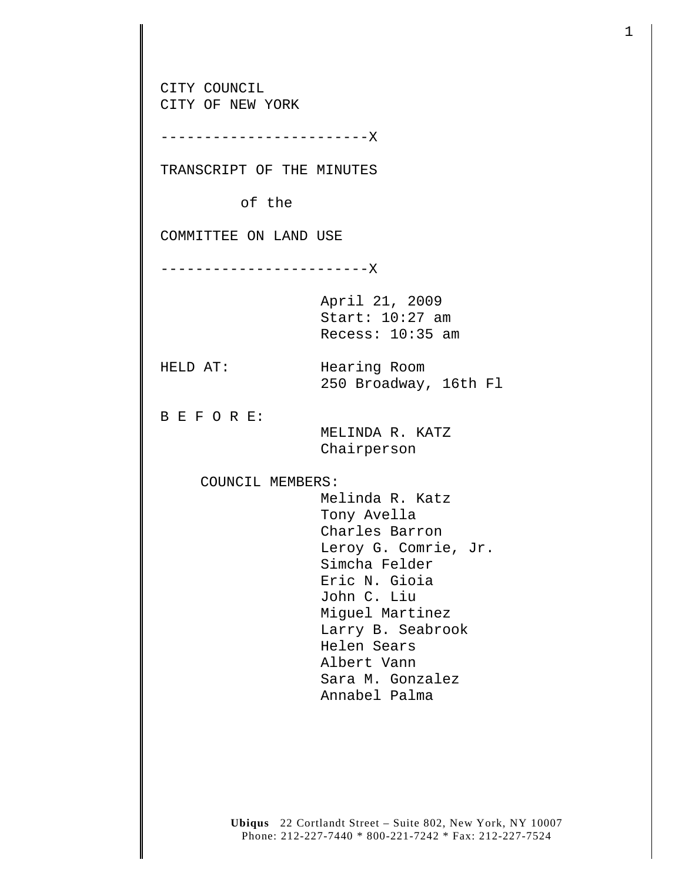CITY COUNCIL CITY OF NEW YORK ------------------------X TRANSCRIPT OF THE MINUTES of the COMMITTEE ON LAND USE ------------------------X April 21, 2009 Start: 10:27 am Recess: 10:35 am HELD AT: Hearing Room 250 Broadway, 16th Fl B E F O R E: MELINDA R. KATZ Chairperson COUNCIL MEMBERS: Melinda R. Katz Tony Avella Charles Barron Leroy G. Comrie, Jr. Simcha Felder Eric N. Gioia John C. Liu Miguel Martinez Larry B. Seabrook Helen Sears Albert Vann Sara M. Gonzalez Annabel Palma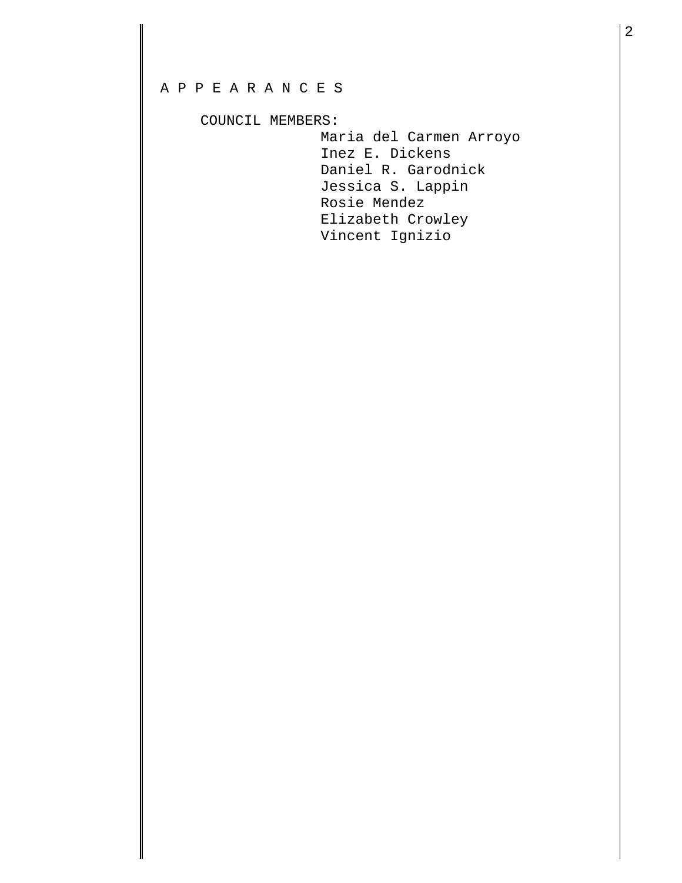## A P P E A R A N C E S

## COUNCIL MEMBERS:

 Maria del Carmen Arroyo Inez E. Dickens Daniel R. Garodnick Jessica S. Lappin Rosie Mendez Elizabeth Crowley Vincent Ignizio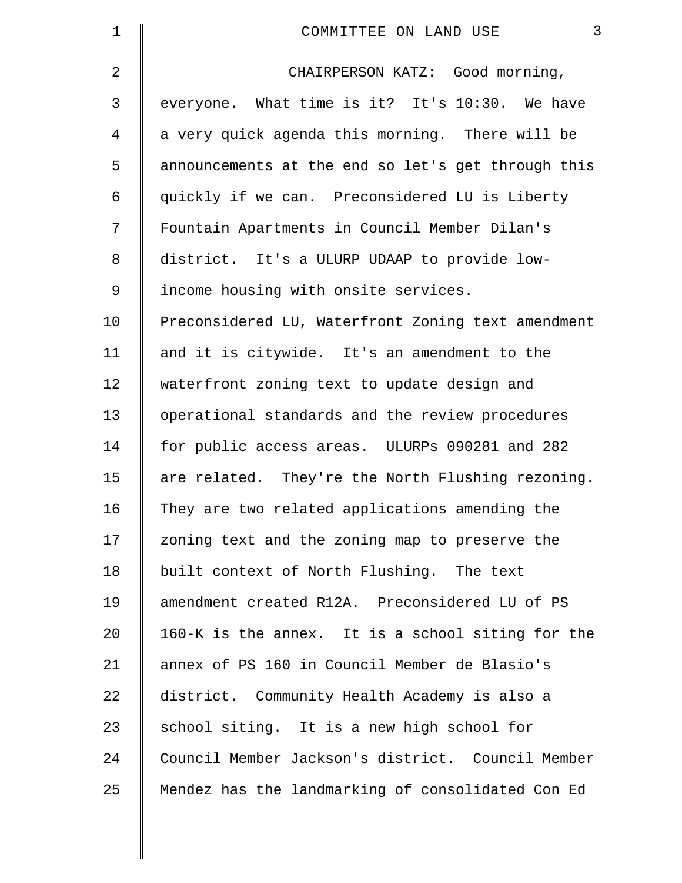| $\mathbf 1$    | $\mathfrak{Z}$<br>COMMITTEE ON LAND USE            |
|----------------|----------------------------------------------------|
| 2              | CHAIRPERSON KATZ: Good morning,                    |
| 3              | everyone. What time is it? It's 10:30. We have     |
| $\overline{4}$ | a very quick agenda this morning. There will be    |
| 5              | announcements at the end so let's get through this |
| 6              | quickly if we can. Preconsidered LU is Liberty     |
| 7              | Fountain Apartments in Council Member Dilan's      |
| 8              | district. It's a ULURP UDAAP to provide low-       |
| $\mathsf 9$    | income housing with onsite services.               |
| 10             | Preconsidered LU, Waterfront Zoning text amendment |
| 11             | and it is citywide. It's an amendment to the       |
| 12             | waterfront zoning text to update design and        |
| 13             | operational standards and the review procedures    |
| 14             | for public access areas. ULURPs 090281 and 282     |
| 15             | are related. They're the North Flushing rezoning.  |
| 16             | They are two related applications amending the     |
| 17             | zoning text and the zoning map to preserve the     |
| 18             | built context of North Flushing. The text          |
| 19             | amendment created R12A. Preconsidered LU of PS     |
| 20             | 160-K is the annex. It is a school siting for the  |
| 21             | annex of PS 160 in Council Member de Blasio's      |
| 22             | district. Community Health Academy is also a       |
| 23             | school siting. It is a new high school for         |
| 24             | Council Member Jackson's district. Council Member  |
| 25             | Mendez has the landmarking of consolidated Con Ed  |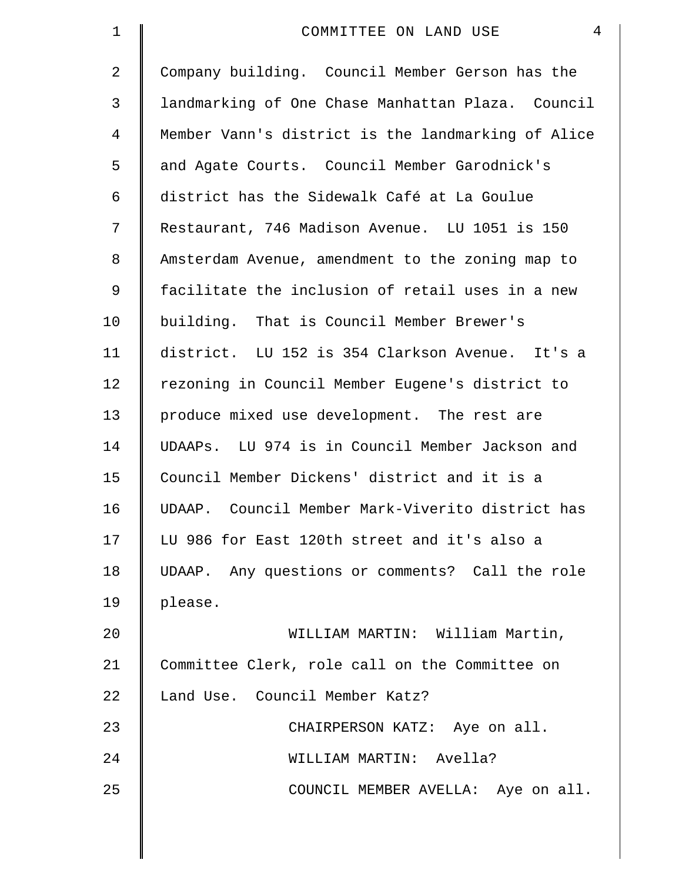| 1  | 4<br>COMMITTEE ON LAND USE                         |
|----|----------------------------------------------------|
| 2  | Company building. Council Member Gerson has the    |
| 3  | landmarking of One Chase Manhattan Plaza. Council  |
| 4  | Member Vann's district is the landmarking of Alice |
| 5  | and Agate Courts. Council Member Garodnick's       |
| 6  | district has the Sidewalk Café at La Goulue        |
| 7  | Restaurant, 746 Madison Avenue. LU 1051 is 150     |
| 8  | Amsterdam Avenue, amendment to the zoning map to   |
| 9  | facilitate the inclusion of retail uses in a new   |
| 10 | building. That is Council Member Brewer's          |
| 11 | district. LU 152 is 354 Clarkson Avenue. It's a    |
| 12 | rezoning in Council Member Eugene's district to    |
| 13 | produce mixed use development. The rest are        |
| 14 | UDAAPs. LU 974 is in Council Member Jackson and    |
| 15 | Council Member Dickens' district and it is a       |
| 16 | UDAAP. Council Member Mark-Viverito district has   |
| 17 | LU 986 for East 120th street and it's also a       |
| 18 | UDAAP. Any questions or comments? Call the role    |
| 19 | please.                                            |
| 20 | WILLIAM MARTIN: William Martin,                    |
| 21 | Committee Clerk, role call on the Committee on     |
| 22 | Land Use. Council Member Katz?                     |
| 23 | CHAIRPERSON KATZ: Aye on all.                      |
| 24 | WILLIAM MARTIN: Avella?                            |
| 25 | COUNCIL MEMBER AVELLA: Aye on all.                 |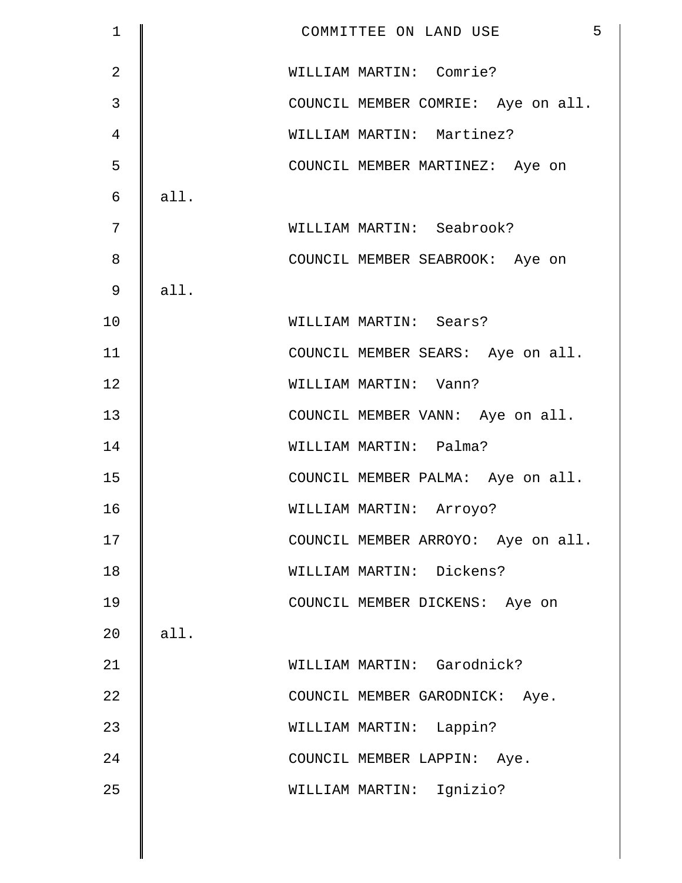| $\mathbf 1$    |      | 5<br>COMMITTEE ON LAND USE         |
|----------------|------|------------------------------------|
| $\overline{2}$ |      | WILLIAM MARTIN: Comrie?            |
| 3              |      | COUNCIL MEMBER COMRIE: Aye on all. |
| 4              |      | WILLIAM MARTIN: Martinez?          |
| 5              |      | COUNCIL MEMBER MARTINEZ: Aye on    |
| 6              | all. |                                    |
| 7              |      | WILLIAM MARTIN: Seabrook?          |
| 8              |      | COUNCIL MEMBER SEABROOK: Aye on    |
| 9              | all. |                                    |
| 10             |      | WILLIAM MARTIN: Sears?             |
| 11             |      | COUNCIL MEMBER SEARS: Aye on all.  |
| 12             |      | WILLIAM MARTIN: Vann?              |
| 13             |      | COUNCIL MEMBER VANN: Aye on all.   |
| 14             |      | WILLIAM MARTIN: Palma?             |
| 15             |      | COUNCIL MEMBER PALMA: Aye on all.  |
| 16             |      | WILLIAM MARTIN: Arroyo?            |
| 17             |      | COUNCIL MEMBER ARROYO: Aye on all. |
| 18             |      | WILLIAM MARTIN: Dickens?           |
| 19             |      | COUNCIL MEMBER DICKENS: Aye on     |
| 20             | all. |                                    |
| 21             |      | WILLIAM MARTIN: Garodnick?         |
| 22             |      | COUNCIL MEMBER GARODNICK: Aye.     |
| 23             |      | WILLIAM MARTIN: Lappin?            |
| 24             |      | COUNCIL MEMBER LAPPIN: Aye.        |
| 25             |      | WILLIAM MARTIN: Ignizio?           |
|                |      |                                    |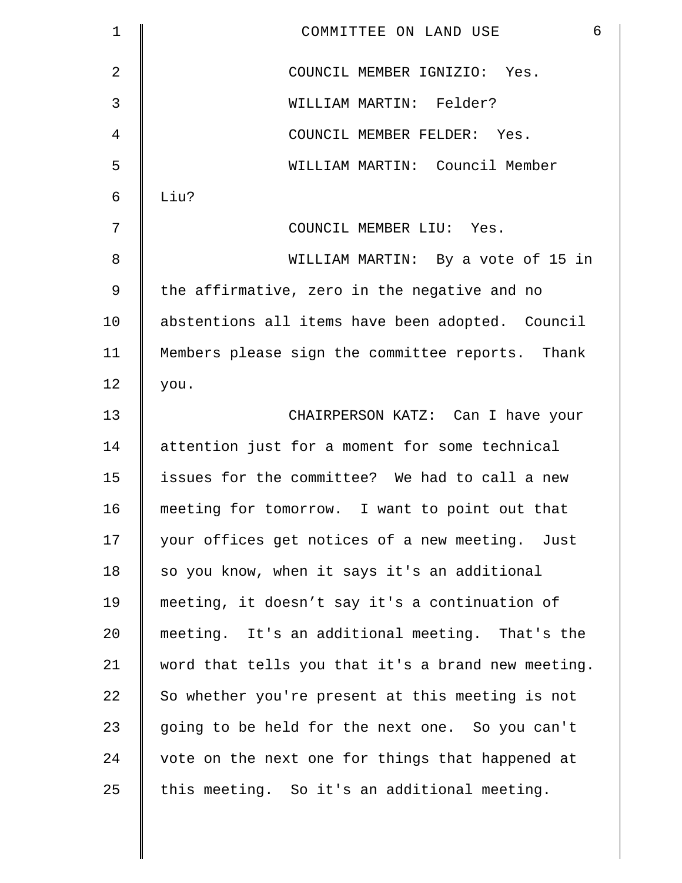| $\mathbf 1$    | 6<br>COMMITTEE ON LAND USE                         |
|----------------|----------------------------------------------------|
| $\overline{2}$ | COUNCIL MEMBER IGNIZIO: Yes.                       |
| 3              | WILLIAM MARTIN: Felder?                            |
| 4              | COUNCIL MEMBER FELDER: Yes.                        |
| 5              | WILLIAM MARTIN: Council Member                     |
| 6              | Liu?                                               |
| 7              | COUNCIL MEMBER LIU: Yes.                           |
| 8              | WILLIAM MARTIN: By a vote of 15 in                 |
| $\overline{9}$ | the affirmative, zero in the negative and no       |
| 10             | abstentions all items have been adopted. Council   |
| 11             | Members please sign the committee reports. Thank   |
| 12             | you.                                               |
| 13             | CHAIRPERSON KATZ: Can I have your                  |
| 14             | attention just for a moment for some technical     |
| 15             | issues for the committee? We had to call a new     |
| 16             | meeting for tomorrow. I want to point out that     |
| 17             | your offices get notices of a new meeting. Just    |
| 18             | so you know, when it says it's an additional       |
| 19             | meeting, it doesn't say it's a continuation of     |
| 20             | meeting. It's an additional meeting. That's the    |
| 21             | word that tells you that it's a brand new meeting. |
| 22             | So whether you're present at this meeting is not   |
| 23             | going to be held for the next one. So you can't    |
| 24             | vote on the next one for things that happened at   |
| 25             | this meeting. So it's an additional meeting.       |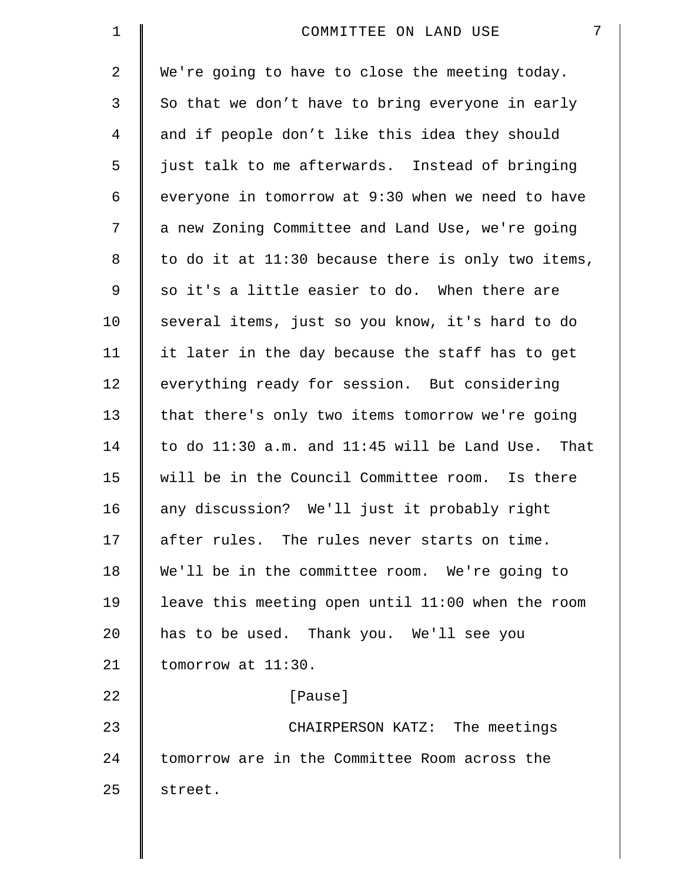| $\mathbf 1$ | 7<br>COMMITTEE ON LAND USE                         |
|-------------|----------------------------------------------------|
| 2           | We're going to have to close the meeting today.    |
| 3           | So that we don't have to bring everyone in early   |
| 4           | and if people don't like this idea they should     |
| 5           | just talk to me afterwards. Instead of bringing    |
| 6           | everyone in tomorrow at 9:30 when we need to have  |
| 7           | a new Zoning Committee and Land Use, we're going   |
| 8           | to do it at 11:30 because there is only two items, |
| 9           | so it's a little easier to do. When there are      |
| 10          | several items, just so you know, it's hard to do   |
| 11          | it later in the day because the staff has to get   |
| 12          | everything ready for session. But considering      |
| 13          | that there's only two items tomorrow we're going   |
| 14          | to do 11:30 a.m. and 11:45 will be Land Use. That  |
| 15          | will be in the Council Committee room. Is there    |
| 16          | any discussion? We'll just it probably right       |
| 17          | after rules. The rules never starts on time.       |
| 18          | We'll be in the committee room. We're going to     |
| 19          | leave this meeting open until 11:00 when the room  |
| 20          | has to be used. Thank you. We'll see you           |
| 21          | tomorrow at 11:30.                                 |
| 22          | [Pause]                                            |
| 23          | CHAIRPERSON KATZ: The meetings                     |
| 24          | tomorrow are in the Committee Room across the      |
| 25          | street.                                            |
|             |                                                    |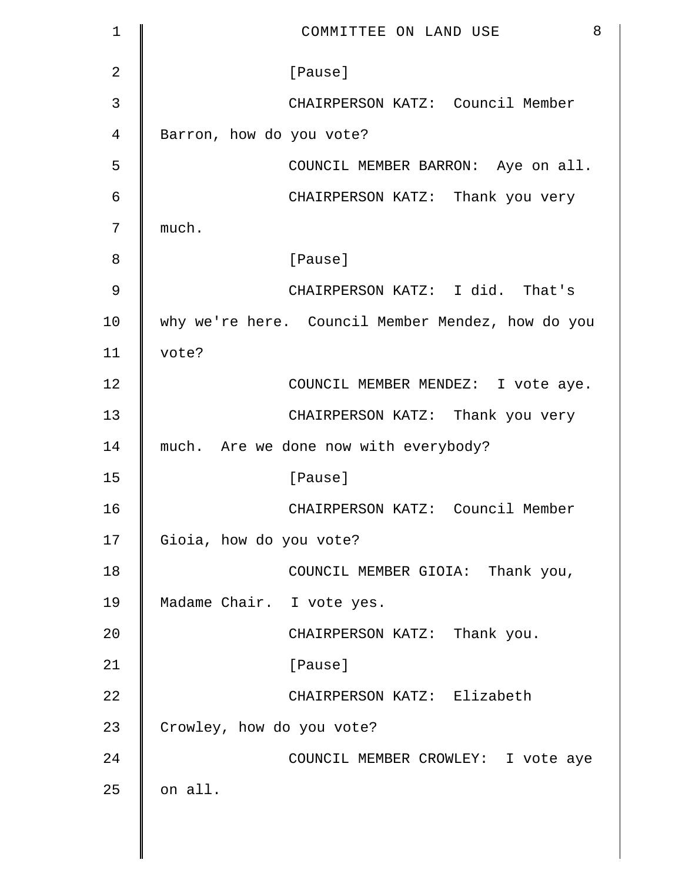| $\mathbf 1$ | 8<br>COMMITTEE ON LAND USE                        |
|-------------|---------------------------------------------------|
| 2           | [Pause]                                           |
| 3           | CHAIRPERSON KATZ: Council Member                  |
| 4           | Barron, how do you vote?                          |
| 5           | COUNCIL MEMBER BARRON: Aye on all.                |
| 6           | CHAIRPERSON KATZ: Thank you very                  |
| 7           | much.                                             |
| 8           | [Pause]                                           |
| 9           | CHAIRPERSON KATZ: I did. That's                   |
| 10          | why we're here. Council Member Mendez, how do you |
| 11          | vote?                                             |
| 12          | COUNCIL MEMBER MENDEZ: I vote aye.                |
| 13          | CHAIRPERSON KATZ: Thank you very                  |
| 14          | much. Are we done now with everybody?             |
| 15          | [Pause]                                           |
| 16          | CHAIRPERSON KATZ: Council Member                  |
| 17          | Gioia, how do you vote?                           |
| 18          | COUNCIL MEMBER GIOIA: Thank you,                  |
| 19          | Madame Chair. I vote yes.                         |
| 20          | CHAIRPERSON KATZ: Thank you.                      |
| 21          | [Pause]                                           |
| 22          | CHAIRPERSON KATZ: Elizabeth                       |
| 23          | Crowley, how do you vote?                         |
| 24          | COUNCIL MEMBER CROWLEY: I vote aye                |
| 25          | on all.                                           |
|             |                                                   |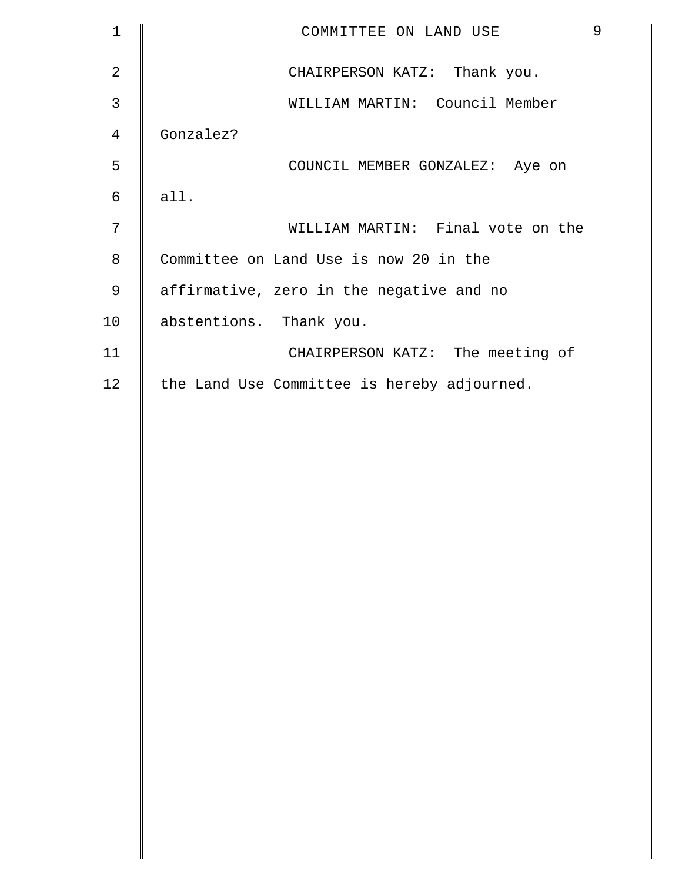| $\mathbf 1$    | COMMITTEE ON LAND USE                       | 9 |
|----------------|---------------------------------------------|---|
| $\overline{2}$ | CHAIRPERSON KATZ: Thank you.                |   |
| 3              | WILLIAM MARTIN: Council Member              |   |
| $\overline{4}$ | Gonzalez?                                   |   |
| 5              | COUNCIL MEMBER GONZALEZ: Aye on             |   |
| 6              | all.                                        |   |
| 7              | WILLIAM MARTIN: Final vote on the           |   |
| 8              | Committee on Land Use is now 20 in the      |   |
| 9              | affirmative, zero in the negative and no    |   |
| 10             | abstentions. Thank you.                     |   |
| 11             | CHAIRPERSON KATZ: The meeting of            |   |
| 12             | the Land Use Committee is hereby adjourned. |   |
|                |                                             |   |
|                |                                             |   |
|                |                                             |   |
|                |                                             |   |
|                |                                             |   |
|                |                                             |   |
|                |                                             |   |
|                |                                             |   |
|                |                                             |   |
|                |                                             |   |
|                |                                             |   |
|                |                                             |   |